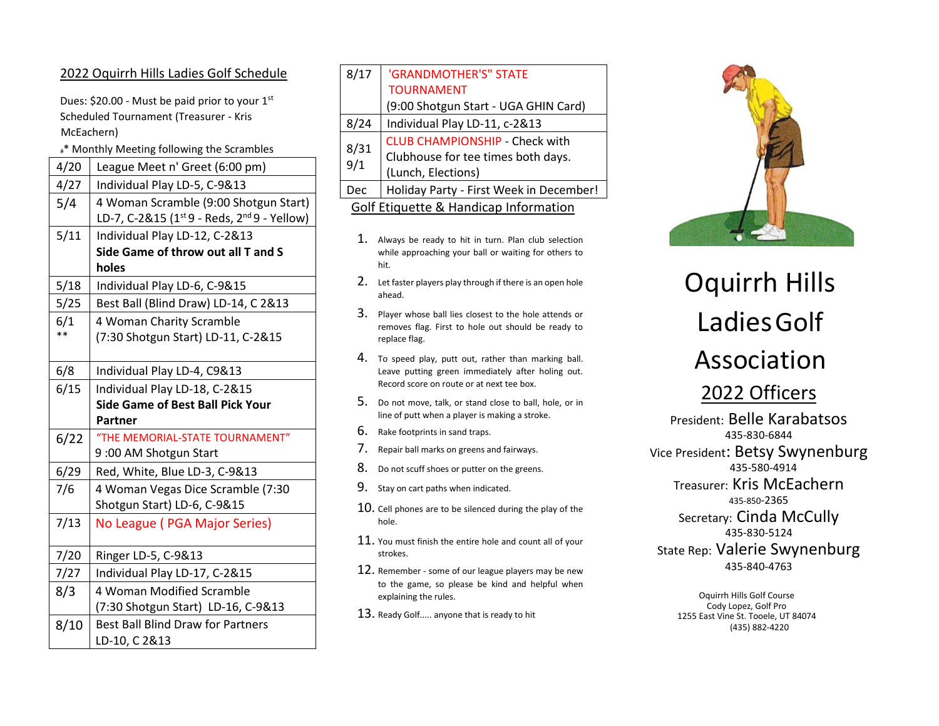# 2022 Oquirrh Hills Ladies Golf Schedule

Dues: \$20.00 - Must be paid prior to your  $1<sup>st</sup>$ Scheduled Tournament (Treasurer - Kris McEachern)

## \* Monthly Meeting following the Scrambles

| 4/20 | League Meet n' Greet (6:00 pm)                                      |
|------|---------------------------------------------------------------------|
| 4/27 | Individual Play LD-5, C-9&13                                        |
| 5/4  | 4 Woman Scramble (9:00 Shotgun Start)                               |
|      | LD-7, C-2&15 (1 <sup>st</sup> 9 - Reds, 2 <sup>nd</sup> 9 - Yellow) |
| 5/11 | Individual Play LD-12, C-2&13                                       |
|      | Side Game of throw out all T and S                                  |
|      | holes                                                               |
| 5/18 | Individual Play LD-6, C-9&15                                        |
| 5/25 | Best Ball (Blind Draw) LD-14, C 2&13                                |
| 6/1  | 4 Woman Charity Scramble                                            |
| $**$ | (7:30 Shotgun Start) LD-11, C-2&15                                  |
|      |                                                                     |
| 6/8  | Individual Play LD-4, C9&13                                         |
| 6/15 | Individual Play LD-18, C-2&15                                       |
|      | <b>Side Game of Best Ball Pick Your</b>                             |
|      | Partner                                                             |
| 6/22 | "THE MEMORIAL-STATE TOURNAMENT"                                     |
|      | 9:00 AM Shotgun Start                                               |
| 6/29 | Red, White, Blue LD-3, C-9&13                                       |
| 7/6  | 4 Woman Vegas Dice Scramble (7:30                                   |
|      | Shotgun Start) LD-6, C-9&15                                         |
| 7/13 | No League (PGA Major Series)                                        |
|      |                                                                     |
| 7/20 | Ringer LD-5, C-9&13                                                 |
| 7/27 | Individual Play LD-17, C-2&15                                       |
| 8/3  | 4 Woman Modified Scramble                                           |
|      | (7:30 Shotgun Start) LD-16, C-9&13                                  |
| 8/10 | <b>Best Ball Blind Draw for Partners</b>                            |
|      | LD-10, C 2&13                                                       |
|      |                                                                     |

| 8/17                                  | 'GRANDMOTHER'S" STATE                   |  |
|---------------------------------------|-----------------------------------------|--|
|                                       | <b>TOURNAMENT</b>                       |  |
|                                       | (9:00 Shotgun Start - UGA GHIN Card)    |  |
| 8/24                                  | Individual Play LD-11, c-2&13           |  |
| 8/31<br>9/1                           | <b>CLUB CHAMPIONSHIP - Check with</b>   |  |
|                                       | Clubhouse for tee times both days.      |  |
|                                       | (Lunch, Elections)                      |  |
| Dec                                   | Holiday Party - First Week in December! |  |
| Golf Etiquette & Handicap Information |                                         |  |

- 1. Always be ready to hit in turn. Plan club selection while approaching your ball or waiting for others to hit.
- 2. Let faster players play through if there is an open hole ahead.
- 3. Player whose ball lies closest to the hole attends or removes flag. First to hole out should be ready to replace flag.
- 4. To speed play, putt out, rather than marking ball. Leave putting green immediately after holing out. Record score on route or at next tee box.
- 5. Do not move, talk, or stand close to ball, hole, or in line of putt when a player is making a stroke.
- 6. Rake footprints in sand traps.
- 7. Repair ball marks on greens and fairways.
- 8. Do not scuff shoes or putter on the greens.
- 9. Stay on cart paths when indicated.
- $10.$  Cell phones are to be silenced during the play of the hole.
- 11. You must finish the entire hole and count all of your strokes.
- 12. Remember some of our league players may be new to the game, so please be kind and helpful when explaining the rules.
- 13. Ready Golf..... anyone that is ready to hit



# Oquirrh Hills LadiesGolf Association

2022 Officers

President: Belle Karabatsos 435-830-6844 Vice President: Betsy Swynenburg 435-580-4914 Treasurer: Kris McEachern 435-850-2365 Secretary: Cinda McCully 435-830-5124 State Rep: Valerie Swynenburg

435-840-4763

Oquirrh Hills Golf Course Cody Lopez, Golf Pro 1255 East Vine St. Tooele, UT 84074 (435) 882-4220